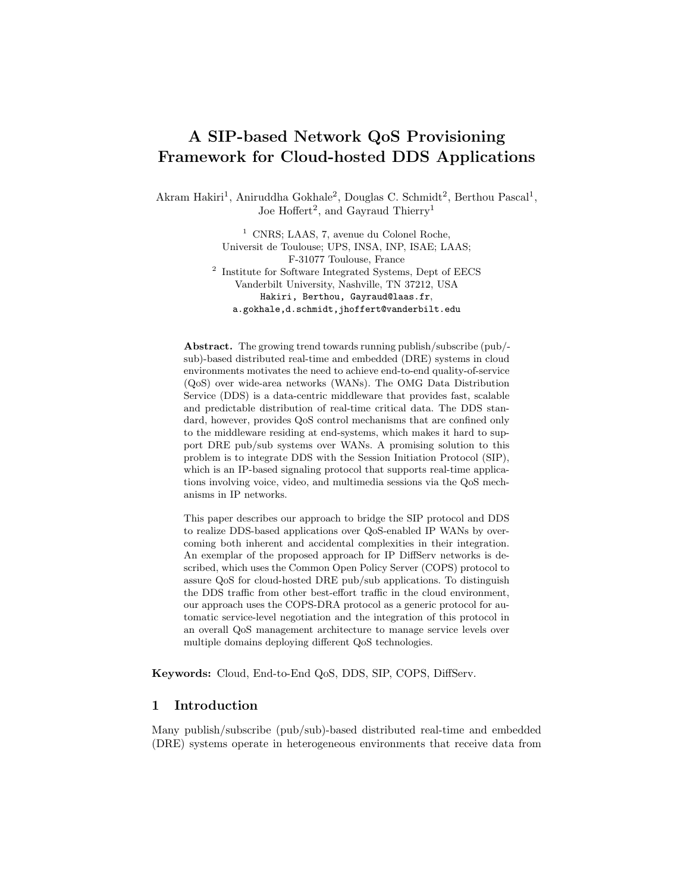# A SIP-based Network QoS Provisioning Framework for Cloud-hosted DDS Applications

Akram Hakiri<sup>1</sup>, Aniruddha Gokhale<sup>2</sup>, Douglas C. Schmidt<sup>2</sup>, Berthou Pascal<sup>1</sup>, Joe Hoffert<sup>2</sup>, and Gayraud Thierry<sup>1</sup>

> <sup>1</sup> CNRS; LAAS, 7, avenue du Colonel Roche, Universit de Toulouse; UPS, INSA, INP, ISAE; LAAS; F-31077 Toulouse, France <sup>2</sup> Institute for Software Integrated Systems, Dept of EECS Vanderbilt University, Nashville, TN 37212, USA Hakiri, Berthou, Gayraud@laas.fr, a.gokhale,d.schmidt,jhoffert@vanderbilt.edu

Abstract. The growing trend towards running publish/subscribe (pub/ sub)-based distributed real-time and embedded (DRE) systems in cloud environments motivates the need to achieve end-to-end quality-of-service (QoS) over wide-area networks (WANs). The OMG Data Distribution Service (DDS) is a data-centric middleware that provides fast, scalable and predictable distribution of real-time critical data. The DDS standard, however, provides QoS control mechanisms that are confined only to the middleware residing at end-systems, which makes it hard to support DRE pub/sub systems over WANs. A promising solution to this problem is to integrate DDS with the Session Initiation Protocol (SIP), which is an IP-based signaling protocol that supports real-time applications involving voice, video, and multimedia sessions via the QoS mechanisms in IP networks.

This paper describes our approach to bridge the SIP protocol and DDS to realize DDS-based applications over QoS-enabled IP WANs by overcoming both inherent and accidental complexities in their integration. An exemplar of the proposed approach for IP DiffServ networks is described, which uses the Common Open Policy Server (COPS) protocol to assure QoS for cloud-hosted DRE pub/sub applications. To distinguish the DDS traffic from other best-effort traffic in the cloud environment, our approach uses the COPS-DRA protocol as a generic protocol for automatic service-level negotiation and the integration of this protocol in an overall QoS management architecture to manage service levels over multiple domains deploying different QoS technologies.

Keywords: Cloud, End-to-End QoS, DDS, SIP, COPS, DiffServ.

# <span id="page-0-0"></span>1 Introduction

Many publish/subscribe (pub/sub)-based distributed real-time and embedded (DRE) systems operate in heterogeneous environments that receive data from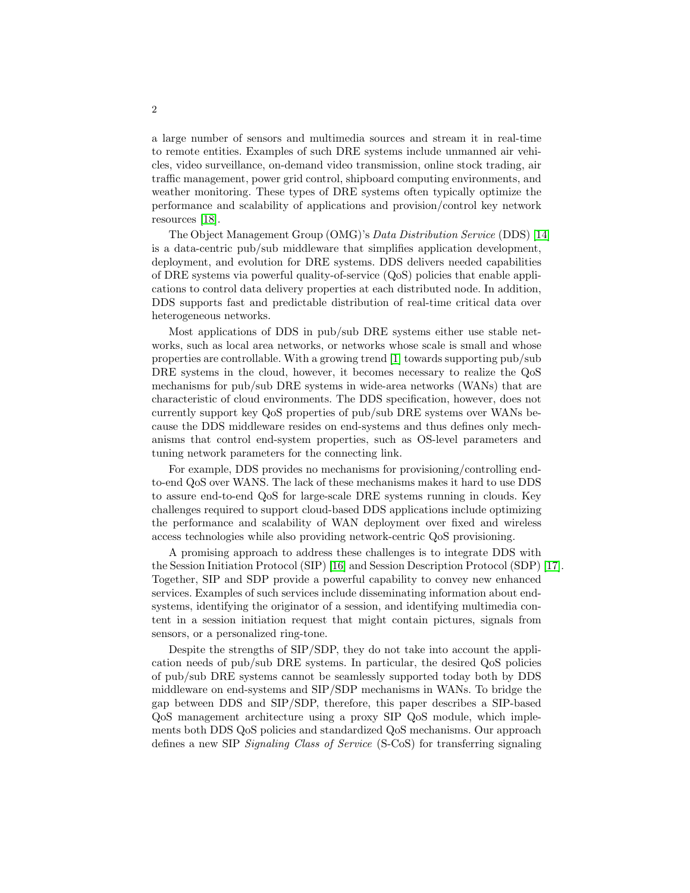a large number of sensors and multimedia sources and stream it in real-time to remote entities. Examples of such DRE systems include unmanned air vehicles, video surveillance, on-demand video transmission, online stock trading, air traffic management, power grid control, shipboard computing environments, and weather monitoring. These types of DRE systems often typically optimize the performance and scalability of applications and provision/control key network resources [\[18\]](#page-17-0).

The Object Management Group (OMG)'s Data Distribution Service (DDS) [\[14\]](#page-17-1) is a data-centric pub/sub middleware that simplifies application development, deployment, and evolution for DRE systems. DDS delivers needed capabilities of DRE systems via powerful quality-of-service (QoS) policies that enable applications to control data delivery properties at each distributed node. In addition, DDS supports fast and predictable distribution of real-time critical data over heterogeneous networks.

Most applications of DDS in pub/sub DRE systems either use stable networks, such as local area networks, or networks whose scale is small and whose properties are controllable. With a growing trend [\[1\]](#page-16-0) towards supporting pub/sub DRE systems in the cloud, however, it becomes necessary to realize the QoS mechanisms for pub/sub DRE systems in wide-area networks (WANs) that are characteristic of cloud environments. The DDS specification, however, does not currently support key QoS properties of pub/sub DRE systems over WANs because the DDS middleware resides on end-systems and thus defines only mechanisms that control end-system properties, such as OS-level parameters and tuning network parameters for the connecting link.

For example, DDS provides no mechanisms for provisioning/controlling endto-end QoS over WANS. The lack of these mechanisms makes it hard to use DDS to assure end-to-end QoS for large-scale DRE systems running in clouds. Key challenges required to support cloud-based DDS applications include optimizing the performance and scalability of WAN deployment over fixed and wireless access technologies while also providing network-centric QoS provisioning.

A promising approach to address these challenges is to integrate DDS with the Session Initiation Protocol (SIP) [\[16\]](#page-17-2) and Session Description Protocol (SDP) [\[17\]](#page-17-3). Together, SIP and SDP provide a powerful capability to convey new enhanced services. Examples of such services include disseminating information about endsystems, identifying the originator of a session, and identifying multimedia content in a session initiation request that might contain pictures, signals from sensors, or a personalized ring-tone.

Despite the strengths of SIP/SDP, they do not take into account the application needs of pub/sub DRE systems. In particular, the desired QoS policies of pub/sub DRE systems cannot be seamlessly supported today both by DDS middleware on end-systems and SIP/SDP mechanisms in WANs. To bridge the gap between DDS and SIP/SDP, therefore, this paper describes a SIP-based QoS management architecture using a proxy SIP QoS module, which implements both DDS QoS policies and standardized QoS mechanisms. Our approach defines a new SIP Signaling Class of Service (S-CoS) for transferring signaling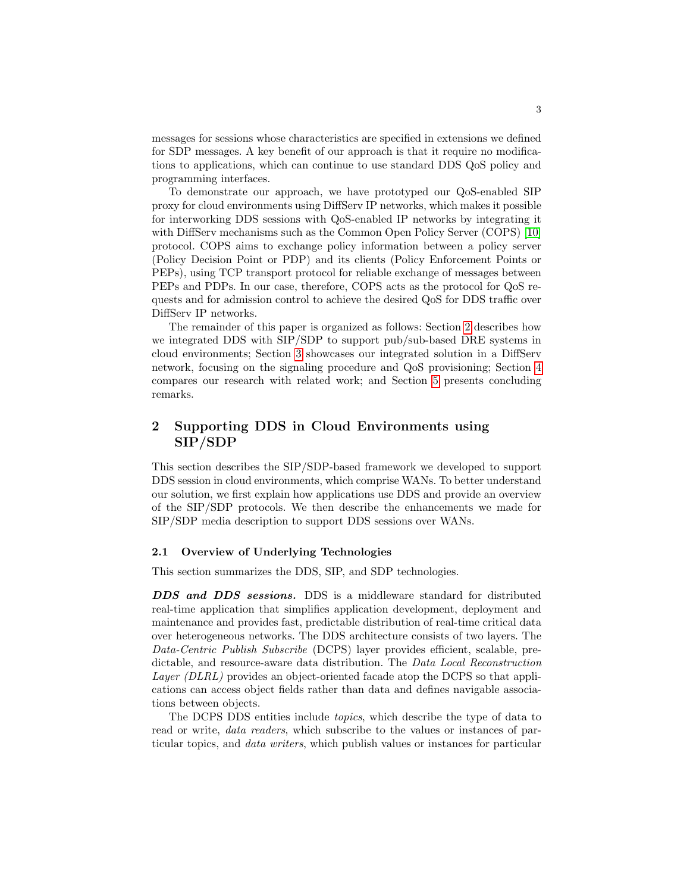messages for sessions whose characteristics are specified in extensions we defined for SDP messages. A key benefit of our approach is that it require no modifications to applications, which can continue to use standard DDS QoS policy and programming interfaces.

To demonstrate our approach, we have prototyped our QoS-enabled SIP proxy for cloud environments using DiffServ IP networks, which makes it possible for interworking DDS sessions with QoS-enabled IP networks by integrating it with DiffServ mechanisms such as the Common Open Policy Server (COPS) [\[10\]](#page-17-4) protocol. COPS aims to exchange policy information between a policy server (Policy Decision Point or PDP) and its clients (Policy Enforcement Points or PEPs), using TCP transport protocol for reliable exchange of messages between PEPs and PDPs. In our case, therefore, COPS acts as the protocol for QoS requests and for admission control to achieve the desired QoS for DDS traffic over DiffServ IP networks.

The remainder of this paper is organized as follows: Section [2](#page-2-0) describes how we integrated DDS with SIP/SDP to support pub/sub-based DRE systems in cloud environments; Section [3](#page-9-0) showcases our integrated solution in a DiffServ network, focusing on the signaling procedure and QoS provisioning; Section [4](#page-14-0) compares our research with related work; and Section [5](#page-16-1) presents concluding remarks.

# <span id="page-2-0"></span>2 Supporting DDS in Cloud Environments using SIP/SDP

This section describes the SIP/SDP-based framework we developed to support DDS session in cloud environments, which comprise WANs. To better understand our solution, we first explain how applications use DDS and provide an overview of the SIP/SDP protocols. We then describe the enhancements we made for SIP/SDP media description to support DDS sessions over WANs.

#### 2.1 Overview of Underlying Technologies

This section summarizes the DDS, SIP, and SDP technologies.

<span id="page-2-1"></span>DDS and DDS sessions. DDS is a middleware standard for distributed real-time application that simplifies application development, deployment and maintenance and provides fast, predictable distribution of real-time critical data over heterogeneous networks. The DDS architecture consists of two layers. The Data-Centric Publish Subscribe (DCPS) layer provides efficient, scalable, predictable, and resource-aware data distribution. The Data Local Reconstruction Layer (DLRL) provides an object-oriented facade atop the DCPS so that applications can access object fields rather than data and defines navigable associations between objects.

The DCPS DDS entities include topics, which describe the type of data to read or write, *data readers*, which subscribe to the values or instances of particular topics, and data writers, which publish values or instances for particular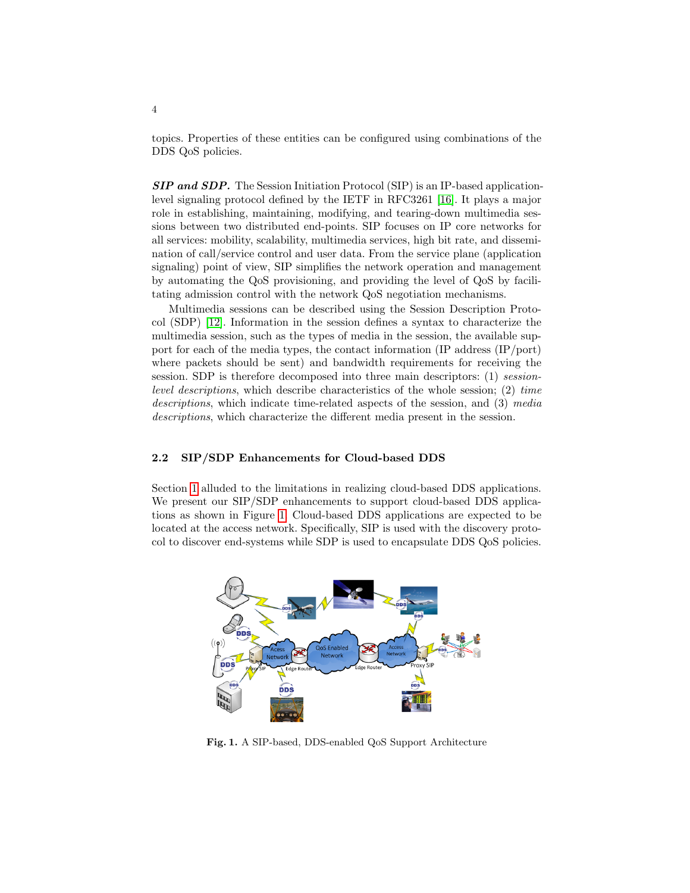topics. Properties of these entities can be configured using combinations of the DDS QoS policies.

SIP and SDP. The Session Initiation Protocol (SIP) is an IP-based applicationlevel signaling protocol defined by the IETF in RFC3261 [\[16\]](#page-17-2). It plays a major role in establishing, maintaining, modifying, and tearing-down multimedia sessions between two distributed end-points. SIP focuses on IP core networks for all services: mobility, scalability, multimedia services, high bit rate, and dissemination of call/service control and user data. From the service plane (application signaling) point of view, SIP simplifies the network operation and management by automating the QoS provisioning, and providing the level of QoS by facilitating admission control with the network QoS negotiation mechanisms.

Multimedia sessions can be described using the Session Description Protocol (SDP) [\[12\]](#page-17-5). Information in the session defines a syntax to characterize the multimedia session, such as the types of media in the session, the available support for each of the media types, the contact information (IP address (IP/port) where packets should be sent) and bandwidth requirements for receiving the session. SDP is therefore decomposed into three main descriptors: (1) sessionlevel descriptions, which describe characteristics of the whole session; (2) time descriptions, which indicate time-related aspects of the session, and (3) media descriptions, which characterize the different media present in the session.

#### 2.2 SIP/SDP Enhancements for Cloud-based DDS

Section [1](#page-0-0) alluded to the limitations in realizing cloud-based DDS applications. We present our SIP/SDP enhancements to support cloud-based DDS applications as shown in Figure [1.](#page-3-0) Cloud-based DDS applications are expected to be located at the access network. Specifically, SIP is used with the discovery protocol to discover end-systems while SDP is used to encapsulate DDS QoS policies.



<span id="page-3-0"></span>Fig. 1. A SIP-based, DDS-enabled QoS Support Architecture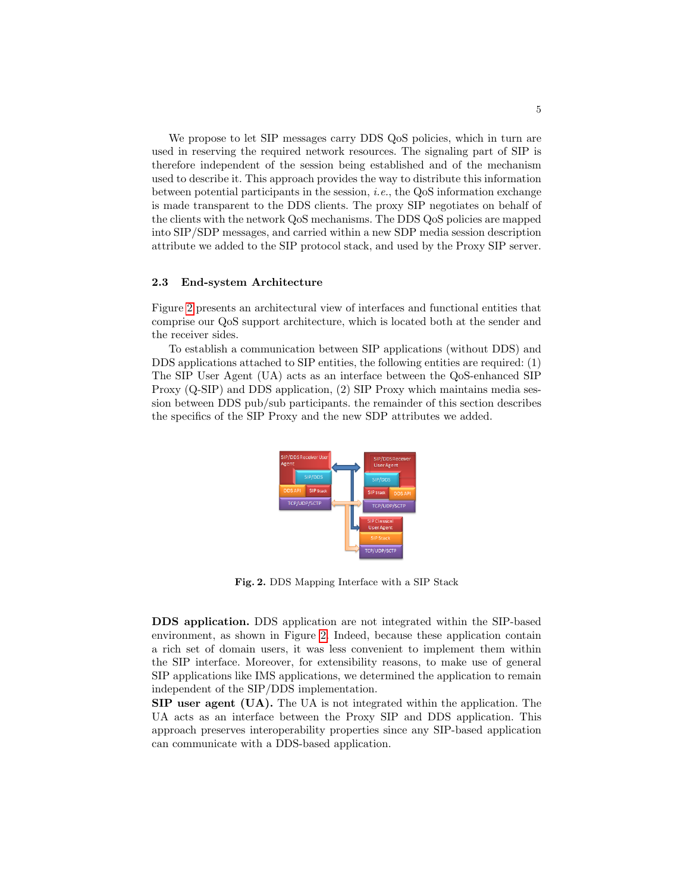We propose to let SIP messages carry DDS QoS policies, which in turn are used in reserving the required network resources. The signaling part of SIP is therefore independent of the session being established and of the mechanism used to describe it. This approach provides the way to distribute this information between potential participants in the session, i.e., the QoS information exchange is made transparent to the DDS clients. The proxy SIP negotiates on behalf of the clients with the network QoS mechanisms. The DDS QoS policies are mapped into SIP/SDP messages, and carried within a new SDP media session description attribute we added to the SIP protocol stack, and used by the Proxy SIP server.

#### 2.3 End-system Architecture

Figure [2](#page-4-0) presents an architectural view of interfaces and functional entities that comprise our QoS support architecture, which is located both at the sender and the receiver sides.

To establish a communication between SIP applications (without DDS) and DDS applications attached to SIP entities, the following entities are required: (1) The SIP User Agent (UA) acts as an interface between the QoS-enhanced SIP Proxy (Q-SIP) and DDS application, (2) SIP Proxy which maintains media session between DDS pub/sub participants. the remainder of this section describes the specifics of the SIP Proxy and the new SDP attributes we added.



<span id="page-4-0"></span>Fig. 2. DDS Mapping Interface with a SIP Stack

DDS application. DDS application are not integrated within the SIP-based environment, as shown in Figure [2.](#page-4-0) Indeed, because these application contain a rich set of domain users, it was less convenient to implement them within the SIP interface. Moreover, for extensibility reasons, to make use of general SIP applications like IMS applications, we determined the application to remain independent of the SIP/DDS implementation.

SIP user agent (UA). The UA is not integrated within the application. The UA acts as an interface between the Proxy SIP and DDS application. This approach preserves interoperability properties since any SIP-based application can communicate with a DDS-based application.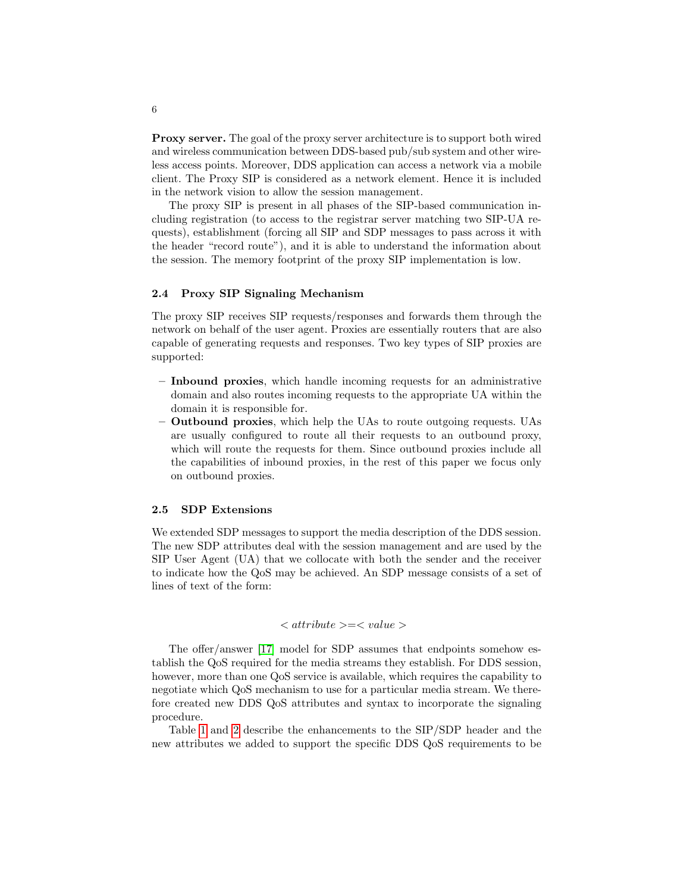Proxy server. The goal of the proxy server architecture is to support both wired and wireless communication between DDS-based pub/sub system and other wireless access points. Moreover, DDS application can access a network via a mobile client. The Proxy SIP is considered as a network element. Hence it is included in the network vision to allow the session management.

The proxy SIP is present in all phases of the SIP-based communication including registration (to access to the registrar server matching two SIP-UA requests), establishment (forcing all SIP and SDP messages to pass across it with the header "record route"), and it is able to understand the information about the session. The memory footprint of the proxy SIP implementation is low.

#### 2.4 Proxy SIP Signaling Mechanism

The proxy SIP receives SIP requests/responses and forwards them through the network on behalf of the user agent. Proxies are essentially routers that are also capable of generating requests and responses. Two key types of SIP proxies are supported:

- Inbound proxies, which handle incoming requests for an administrative domain and also routes incoming requests to the appropriate UA within the domain it is responsible for.
- Outbound proxies, which help the UAs to route outgoing requests. UAs are usually configured to route all their requests to an outbound proxy, which will route the requests for them. Since outbound proxies include all the capabilities of inbound proxies, in the rest of this paper we focus only on outbound proxies.

#### 2.5 SDP Extensions

We extended SDP messages to support the media description of the DDS session. The new SDP attributes deal with the session management and are used by the SIP User Agent (UA) that we collocate with both the sender and the receiver to indicate how the QoS may be achieved. An SDP message consists of a set of lines of text of the form:

# $\langle$  attribute  $\rangle = \langle$  value  $\rangle$

The offer/answer [\[17\]](#page-17-3) model for SDP assumes that endpoints somehow establish the QoS required for the media streams they establish. For DDS session, however, more than one QoS service is available, which requires the capability to negotiate which QoS mechanism to use for a particular media stream. We therefore created new DDS QoS attributes and syntax to incorporate the signaling procedure.

Table [1](#page-6-0) and [2](#page-6-1) describe the enhancements to the SIP/SDP header and the new attributes we added to support the specific DDS QoS requirements to be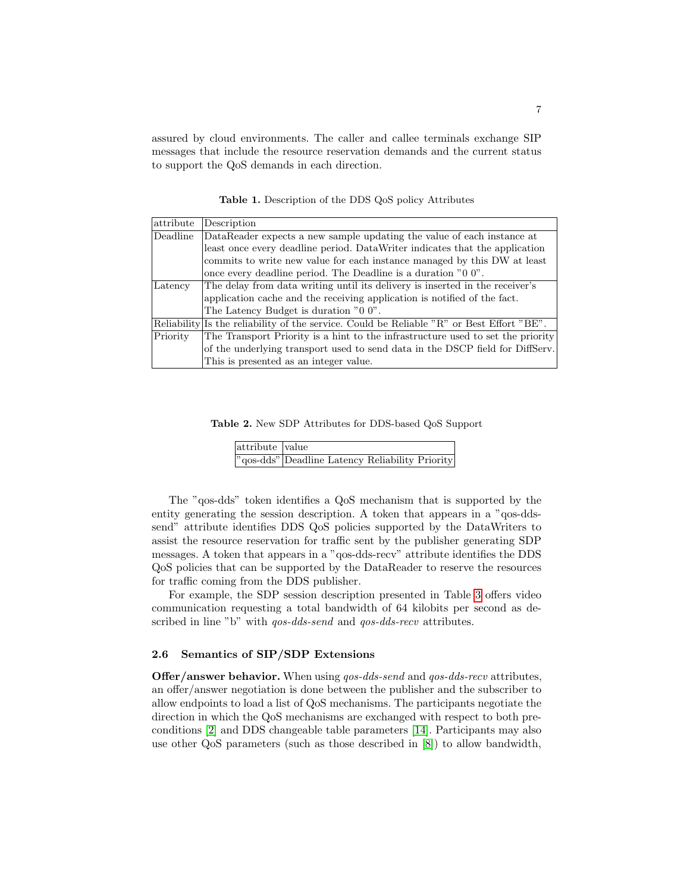assured by cloud environments. The caller and callee terminals exchange SIP messages that include the resource reservation demands and the current status to support the QoS demands in each direction.

| attribute         | Description                                                                                          |  |  |  |
|-------------------|------------------------------------------------------------------------------------------------------|--|--|--|
| $\Delta$ Deadline | DataReader expects a new sample updating the value of each instance at                               |  |  |  |
|                   | least once every deadline period. DataWriter indicates that the application                          |  |  |  |
|                   | commits to write new value for each instance managed by this DW at least                             |  |  |  |
|                   | once every deadline period. The Deadline is a duration $"0 0"$ .                                     |  |  |  |
| Latency           | The delay from data writing until its delivery is inserted in the receiver's                         |  |  |  |
|                   | application cache and the receiving application is notified of the fact.                             |  |  |  |
|                   | The Latency Budget is duration $"0 0"$ .                                                             |  |  |  |
|                   | Reliability Is the reliability of the service. Could be Reliable $\mathrm{R}^n$ or Best Effort "BE". |  |  |  |
| Priority          | The Transport Priority is a hint to the infrastructure used to set the priority                      |  |  |  |
|                   | of the underlying transport used to send data in the DSCP field for DiffServ.                        |  |  |  |
|                   | This is presented as an integer value.                                                               |  |  |  |

<span id="page-6-0"></span>Table 1. Description of the DDS QoS policy Attributes

| Table 2. New SDP Attributes for DDS-based QoS Support |  |  |  |  |
|-------------------------------------------------------|--|--|--|--|
|-------------------------------------------------------|--|--|--|--|

<span id="page-6-1"></span>

| attribute value |                                                 |
|-----------------|-------------------------------------------------|
|                 | "qos-dds" Deadline Latency Reliability Priority |

The "qos-dds" token identifies a QoS mechanism that is supported by the entity generating the session description. A token that appears in a "qos-ddssend" attribute identifies DDS QoS policies supported by the DataWriters to assist the resource reservation for traffic sent by the publisher generating SDP messages. A token that appears in a "qos-dds-recv" attribute identifies the DDS QoS policies that can be supported by the DataReader to reserve the resources for traffic coming from the DDS publisher.

For example, the SDP session description presented in Table [3](#page-7-0) offers video communication requesting a total bandwidth of 64 kilobits per second as described in line "b" with *gos-dds-send* and *gos-dds-recv* attributes.

#### 2.6 Semantics of SIP/SDP Extensions

Offer/answer behavior. When using qos-dds-send and qos-dds-recv attributes, an offer/answer negotiation is done between the publisher and the subscriber to allow endpoints to load a list of QoS mechanisms. The participants negotiate the direction in which the QoS mechanisms are exchanged with respect to both preconditions [\[2\]](#page-17-6) and DDS changeable table parameters [\[14\]](#page-17-1). Participants may also use other QoS parameters (such as those described in [\[8\]](#page-17-7)) to allow bandwidth,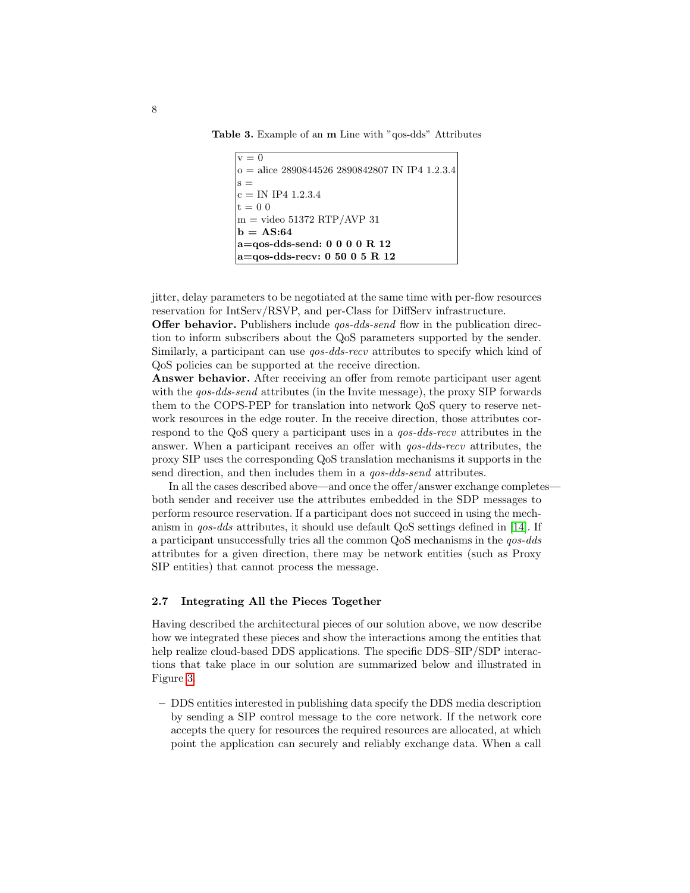Table 3. Example of an m Line with "qos-dds" Attributes

```
v = 0\sigma = \text{alice } 2890844526 2890842807 \text{ IN IP4 } 1.2.3.4s =c = IN IP4 1.2.3.4t = 0 0
m = video 51372 RTP/AVP 31
\mathbf{b} = \mathbf{A}\mathbf{S}:\mathbf{64}|{\rm a}=qos-dds-send: 0 0 0 0 {\rm R} 12
|{\rm a}=qos-dds-recv: 0 50 0 5 R 12
```
jitter, delay parameters to be negotiated at the same time with per-flow resources reservation for IntServ/RSVP, and per-Class for DiffServ infrastructure.

**Offer behavior.** Publishers include *gos-dds-send* flow in the publication direction to inform subscribers about the QoS parameters supported by the sender. Similarly, a participant can use *qos-dds-recv* attributes to specify which kind of QoS policies can be supported at the receive direction.

Answer behavior. After receiving an offer from remote participant user agent with the *gos-dds-send* attributes (in the Invite message), the proxy SIP forwards them to the COPS-PEP for translation into network QoS query to reserve network resources in the edge router. In the receive direction, those attributes correspond to the QoS query a participant uses in a qos-dds-recv attributes in the answer. When a participant receives an offer with qos-dds-recv attributes, the proxy SIP uses the corresponding QoS translation mechanisms it supports in the send direction, and then includes them in a *gos-dds-send* attributes.

In all the cases described above—and once the offer/answer exchange completes both sender and receiver use the attributes embedded in the SDP messages to perform resource reservation. If a participant does not succeed in using the mechanism in qos-dds attributes, it should use default QoS settings defined in [\[14\]](#page-17-1). If a participant unsuccessfully tries all the common QoS mechanisms in the qos-dds attributes for a given direction, there may be network entities (such as Proxy SIP entities) that cannot process the message.

#### 2.7 Integrating All the Pieces Together

Having described the architectural pieces of our solution above, we now describe how we integrated these pieces and show the interactions among the entities that help realize cloud-based DDS applications. The specific DDS–SIP/SDP interactions that take place in our solution are summarized below and illustrated in Figure [3.](#page-8-0)

– DDS entities interested in publishing data specify the DDS media description by sending a SIP control message to the core network. If the network core accepts the query for resources the required resources are allocated, at which point the application can securely and reliably exchange data. When a call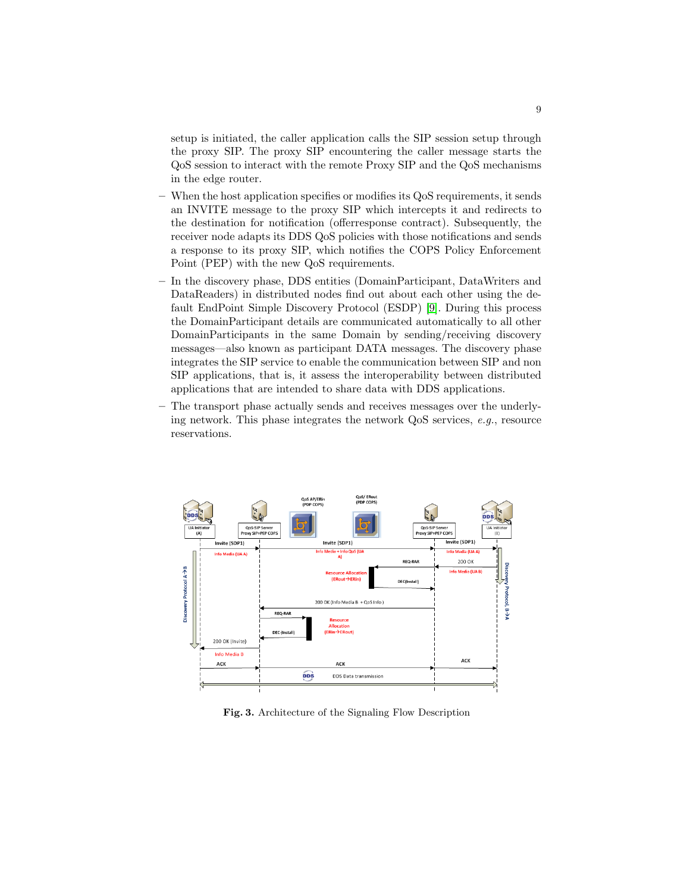setup is initiated, the caller application calls the SIP session setup through the proxy SIP. The proxy SIP encountering the caller message starts the QoS session to interact with the remote Proxy SIP and the QoS mechanisms in the edge router.

- When the host application specifies or modifies its QoS requirements, it sends an INVITE message to the proxy SIP which intercepts it and redirects to the destination for notification (offerresponse contract). Subsequently, the receiver node adapts its DDS QoS policies with those notifications and sends a response to its proxy SIP, which notifies the COPS Policy Enforcement Point (PEP) with the new QoS requirements.
- In the discovery phase, DDS entities (DomainParticipant, DataWriters and DataReaders) in distributed nodes find out about each other using the default EndPoint Simple Discovery Protocol (ESDP) [\[9\]](#page-17-8). During this process the DomainParticipant details are communicated automatically to all other DomainParticipants in the same Domain by sending/receiving discovery messages—also known as participant DATA messages. The discovery phase integrates the SIP service to enable the communication between SIP and non SIP applications, that is, it assess the interoperability between distributed applications that are intended to share data with DDS applications.
- The transport phase actually sends and receives messages over the underlying network. This phase integrates the network QoS services, e.g., resource reservations.



<span id="page-8-0"></span>Fig. 3. Architecture of the Signaling Flow Description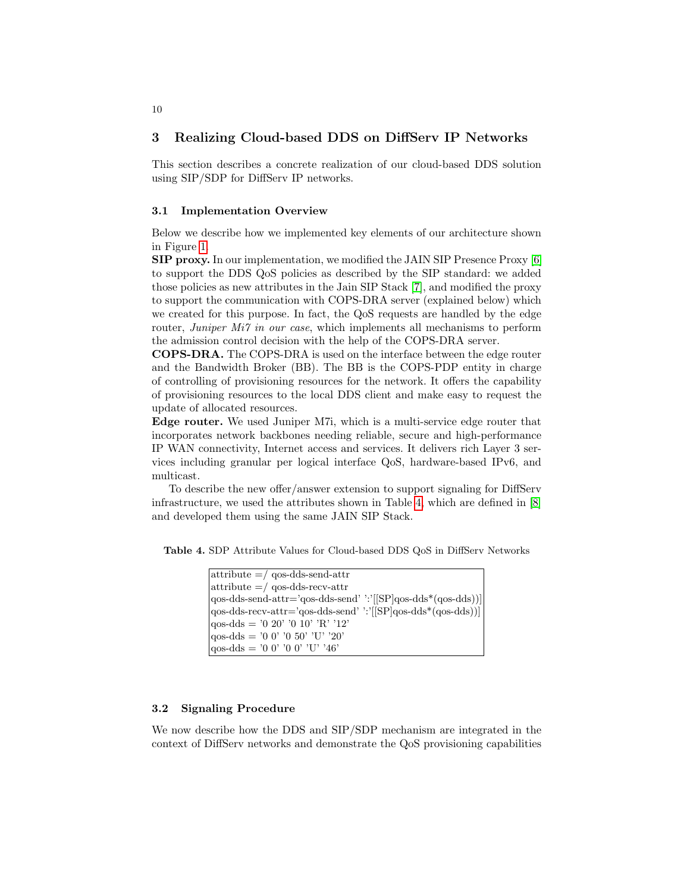# <span id="page-9-0"></span>3 Realizing Cloud-based DDS on DiffServ IP Networks

This section describes a concrete realization of our cloud-based DDS solution using SIP/SDP for DiffServ IP networks.

#### 3.1 Implementation Overview

Below we describe how we implemented key elements of our architecture shown in Figure [1.](#page-3-0)

SIP proxy. In our implementation, we modified the JAIN SIP Presence Proxy [\[6\]](#page-17-9) to support the DDS QoS policies as described by the SIP standard: we added those policies as new attributes in the Jain SIP Stack [\[7\]](#page-17-10), and modified the proxy to support the communication with COPS-DRA server (explained below) which we created for this purpose. In fact, the QoS requests are handled by the edge router, *Juniper Mi7 in our case*, which implements all mechanisms to perform the admission control decision with the help of the COPS-DRA server.

COPS-DRA. The COPS-DRA is used on the interface between the edge router and the Bandwidth Broker (BB). The BB is the COPS-PDP entity in charge of controlling of provisioning resources for the network. It offers the capability of provisioning resources to the local DDS client and make easy to request the update of allocated resources.

Edge router. We used Juniper M7i, which is a multi-service edge router that incorporates network backbones needing reliable, secure and high-performance IP WAN connectivity, Internet access and services. It delivers rich Layer 3 services including granular per logical interface QoS, hardware-based IPv6, and multicast.

To describe the new offer/answer extension to support signaling for DiffServ infrastructure, we used the attributes shown in Table [4,](#page-9-1) which are defined in [\[8\]](#page-17-7) and developed them using the same JAIN SIP Stack.

Table 4. SDP Attribute Values for Cloud-based DDS QoS in DiffServ Networks

<span id="page-9-1"></span>

| $\lambda$ attribute $=$ / qos-dds-send-attr                                                                                 |
|-----------------------------------------------------------------------------------------------------------------------------|
| $\lambda$ attribute $=$ qos-dds-recv-attr                                                                                   |
| $ qos-dds\text{-send-attr} = qos-dds\text{-send'}$ : $ [SP]qos-dds*(qos-dds)] $                                             |
| $ pos\text{-}dds\text{-}recv\text{-}attr = 'qos\text{-}dds\text{-}send'$ ':' $ [SP]qos\text{-}dds\text{*}(qos\text{-}dds)]$ |
| $\sqrt{\cos - d}$ ds = '0 20' '0 10' 'R' '12'                                                                               |
| $\text{qos-dds} = 0.0$ ' 0.50' 'U' '20'                                                                                     |
| $\text{log-}dds = '0\ 0' \ 0' \ 0' \ 0' \ 0'$                                                                               |

#### 3.2 Signaling Procedure

We now describe how the DDS and SIP/SDP mechanism are integrated in the context of DiffServ networks and demonstrate the QoS provisioning capabilities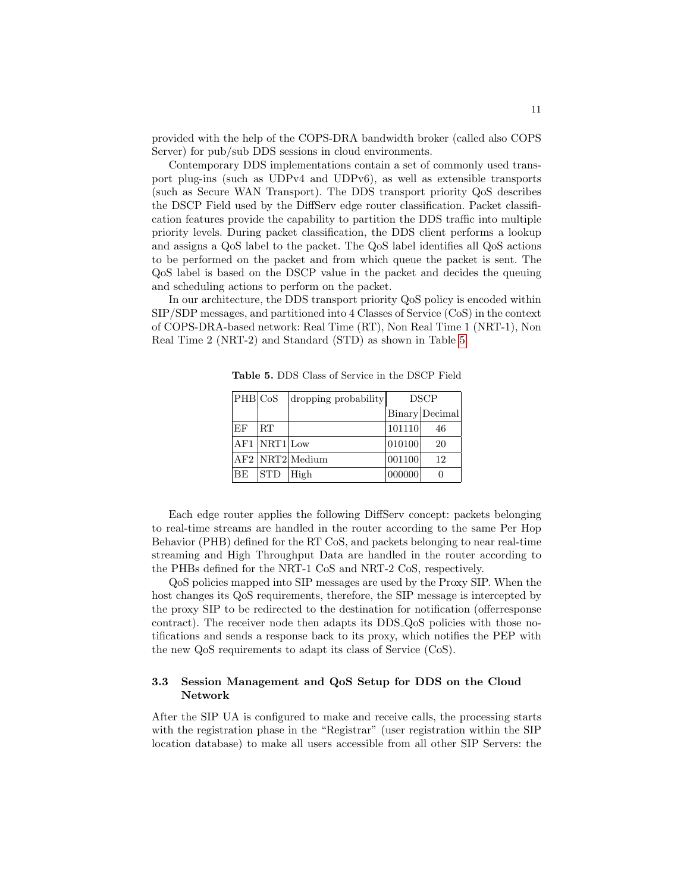provided with the help of the COPS-DRA bandwidth broker (called also COPS Server) for pub/sub DDS sessions in cloud environments.

Contemporary DDS implementations contain a set of commonly used transport plug-ins (such as UDPv4 and UDPv6), as well as extensible transports (such as Secure WAN Transport). The DDS transport priority QoS describes the DSCP Field used by the DiffServ edge router classification. Packet classification features provide the capability to partition the DDS traffic into multiple priority levels. During packet classification, the DDS client performs a lookup and assigns a QoS label to the packet. The QoS label identifies all QoS actions to be performed on the packet and from which queue the packet is sent. The QoS label is based on the DSCP value in the packet and decides the queuing and scheduling actions to perform on the packet.

In our architecture, the DDS transport priority QoS policy is encoded within SIP/SDP messages, and partitioned into 4 Classes of Service (CoS) in the context of COPS-DRA-based network: Real Time (RT), Non Real Time 1 (NRT-1), Non Real Time 2 (NRT-2) and Standard (STD) as shown in Table [5.](#page-10-0)

| $ PHB $ CoS |                  | dropping probability | <b>DSCP</b> |                      |  |
|-------------|------------------|----------------------|-------------|----------------------|--|
|             |                  |                      |             | $\rm Binary$ Decimal |  |
| EF          | <b>RT</b>        |                      | 101110      | 46                   |  |
|             | $AF1$ $NRT1$ Low |                      | 010100      | 20                   |  |
|             |                  | $AF2$ NRT2 Medium    | 001100      | 12                   |  |
| ΒE          | <b>STD</b>       | High                 | 000000      | 0                    |  |

<span id="page-10-0"></span>Table 5. DDS Class of Service in the DSCP Field

Each edge router applies the following DiffServ concept: packets belonging to real-time streams are handled in the router according to the same Per Hop Behavior (PHB) defined for the RT CoS, and packets belonging to near real-time streaming and High Throughput Data are handled in the router according to the PHBs defined for the NRT-1 CoS and NRT-2 CoS, respectively.

QoS policies mapped into SIP messages are used by the Proxy SIP. When the host changes its QoS requirements, therefore, the SIP message is intercepted by the proxy SIP to be redirected to the destination for notification (offerresponse contract). The receiver node then adapts its DDS QoS policies with those notifications and sends a response back to its proxy, which notifies the PEP with the new QoS requirements to adapt its class of Service (CoS).

# 3.3 Session Management and QoS Setup for DDS on the Cloud Network

After the SIP UA is configured to make and receive calls, the processing starts with the registration phase in the "Registrar" (user registration within the SIP location database) to make all users accessible from all other SIP Servers: the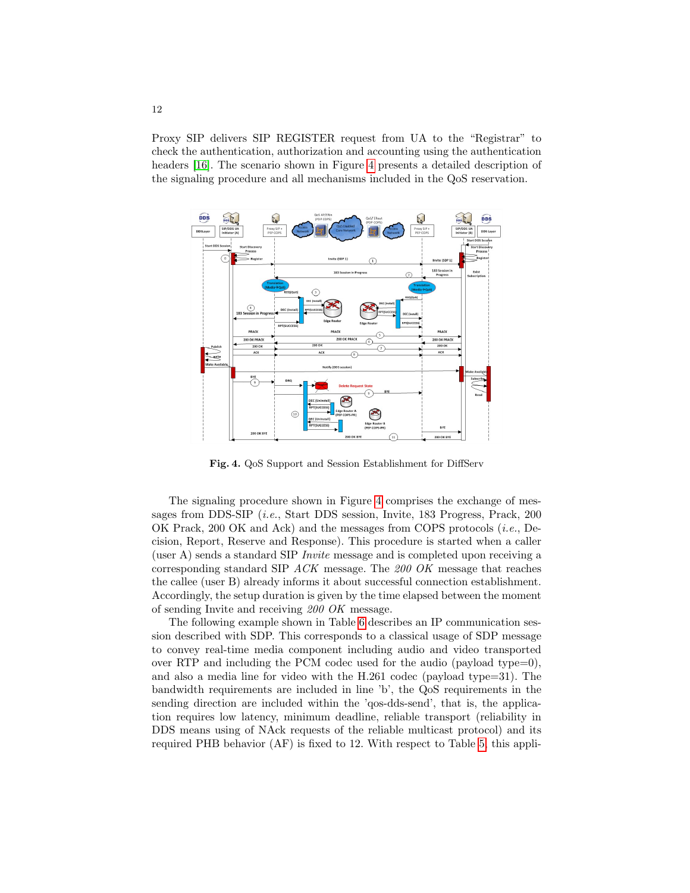Proxy SIP delivers SIP REGISTER request from UA to the "Registrar" to check the authentication, authorization and accounting using the authentication headers [\[16\]](#page-17-2). The scenario shown in Figure [4](#page-11-0) presents a detailed description of the signaling procedure and all mechanisms included in the QoS reservation.



<span id="page-11-0"></span>Fig. 4. QoS Support and Session Establishment for DiffServ

The signaling procedure shown in Figure [4](#page-11-0) comprises the exchange of messages from DDS-SIP (i.e., Start DDS session, Invite, 183 Progress, Prack, 200 OK Prack, 200 OK and Ack) and the messages from COPS protocols (i.e., Decision, Report, Reserve and Response). This procedure is started when a caller (user A) sends a standard SIP Invite message and is completed upon receiving a corresponding standard SIP ACK message. The 200 OK message that reaches the callee (user B) already informs it about successful connection establishment. Accordingly, the setup duration is given by the time elapsed between the moment of sending Invite and receiving 200 OK message.

The following example shown in Table [6](#page-12-0) describes an IP communication session described with SDP. This corresponds to a classical usage of SDP message to convey real-time media component including audio and video transported over RTP and including the PCM codec used for the audio (payload type=0), and also a media line for video with the H.261 codec (payload type=31). The bandwidth requirements are included in line 'b', the QoS requirements in the sending direction are included within the 'qos-dds-send', that is, the application requires low latency, minimum deadline, reliable transport (reliability in DDS means using of NAck requests of the reliable multicast protocol) and its required PHB behavior (AF) is fixed to 12. With respect to Table [5,](#page-10-0) this appli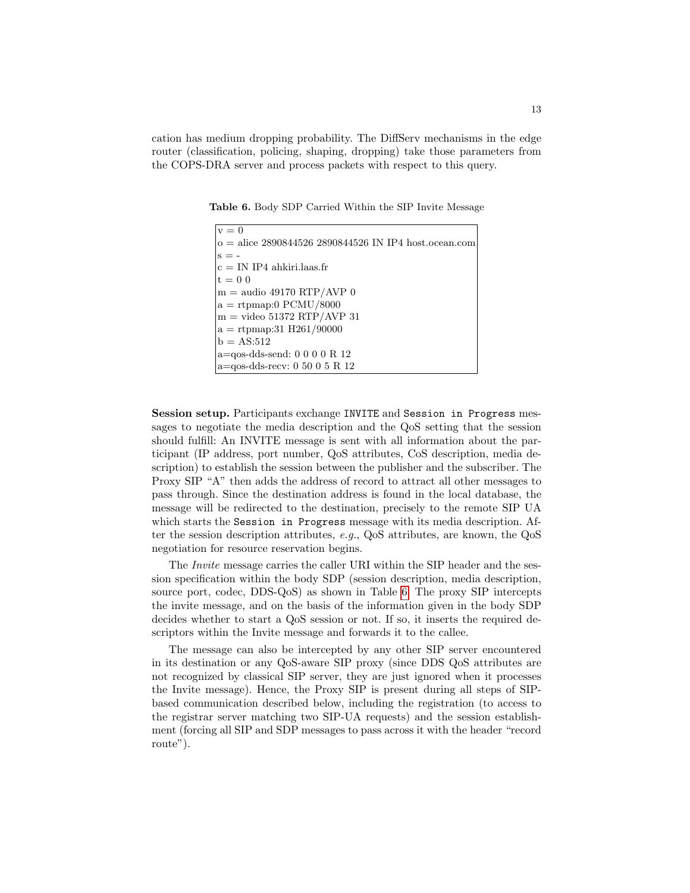cation has medium dropping probability. The DiffServ mechanisms in the edge router (classification, policing, shaping, dropping) take those parameters from the COPS-DRA server and process packets with respect to this query.

Table 6. Body SDP Carried Within the SIP Invite Message

<span id="page-12-0"></span>

| $\mathbf{v} = 0$                                        |
|---------------------------------------------------------|
| $o =$ alice 2890844526 2890844526 IN IP4 host.ocean.com |
| $s = -$                                                 |
| $c = IN$ IP4 ahkiri.laas.fr                             |
| $t = 0.0$                                               |
| $ m = \text{audio } 49170 \text{ RTP} / \text{AVP } 0$  |
| $a = rtpmap:0$ PCMU/8000                                |
| $ m =$ video 51372 RTP/AVP 31                           |
| $ a = r$ tpmap:31 H261/90000                            |
| $\rm{b} = \rm{AS}:512$                                  |
| $ a=$ qos-dds-send: 0 0 0 0 R 12                        |
| $ a=$ qos-dds-recv: 0 50 0 5 R 12                       |

Session setup. Participants exchange INVITE and Session in Progress messages to negotiate the media description and the QoS setting that the session should fulfill: An INVITE message is sent with all information about the participant (IP address, port number, QoS attributes, CoS description, media description) to establish the session between the publisher and the subscriber. The Proxy SIP "A" then adds the address of record to attract all other messages to pass through. Since the destination address is found in the local database, the message will be redirected to the destination, precisely to the remote SIP UA which starts the Session in Progress message with its media description. After the session description attributes, e.g., QoS attributes, are known, the QoS negotiation for resource reservation begins.

The Invite message carries the caller URI within the SIP header and the session specification within the body SDP (session description, media description, source port, codec, DDS-QoS) as shown in Table [6.](#page-12-0) The proxy SIP intercepts the invite message, and on the basis of the information given in the body SDP decides whether to start a QoS session or not. If so, it inserts the required descriptors within the Invite message and forwards it to the callee.

The message can also be intercepted by any other SIP server encountered in its destination or any QoS-aware SIP proxy (since DDS QoS attributes are not recognized by classical SIP server, they are just ignored when it processes the Invite message). Hence, the Proxy SIP is present during all steps of SIPbased communication described below, including the registration (to access to the registrar server matching two SIP-UA requests) and the session establishment (forcing all SIP and SDP messages to pass across it with the header "record route").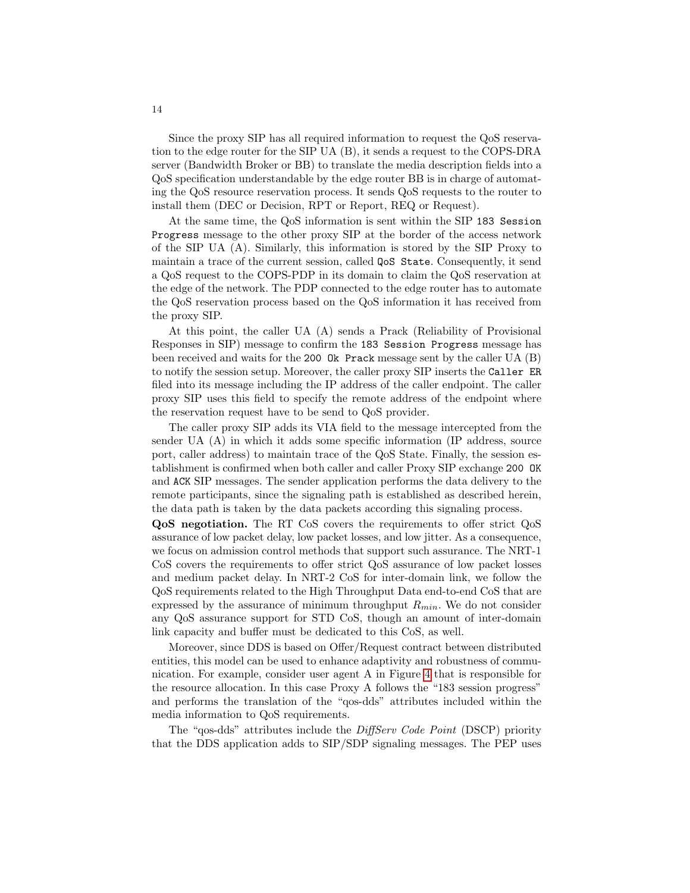Since the proxy SIP has all required information to request the QoS reservation to the edge router for the SIP UA (B), it sends a request to the COPS-DRA server (Bandwidth Broker or BB) to translate the media description fields into a QoS specification understandable by the edge router BB is in charge of automating the QoS resource reservation process. It sends QoS requests to the router to install them (DEC or Decision, RPT or Report, REQ or Request).

At the same time, the QoS information is sent within the SIP 183 Session Progress message to the other proxy SIP at the border of the access network of the SIP UA (A). Similarly, this information is stored by the SIP Proxy to maintain a trace of the current session, called QoS State. Consequently, it send a QoS request to the COPS-PDP in its domain to claim the QoS reservation at the edge of the network. The PDP connected to the edge router has to automate the QoS reservation process based on the QoS information it has received from the proxy SIP.

At this point, the caller UA (A) sends a Prack (Reliability of Provisional Responses in SIP) message to confirm the 183 Session Progress message has been received and waits for the 200 Ok Prack message sent by the caller UA (B) to notify the session setup. Moreover, the caller proxy SIP inserts the Caller ER filed into its message including the IP address of the caller endpoint. The caller proxy SIP uses this field to specify the remote address of the endpoint where the reservation request have to be send to QoS provider.

The caller proxy SIP adds its VIA field to the message intercepted from the sender UA (A) in which it adds some specific information (IP address, source port, caller address) to maintain trace of the QoS State. Finally, the session establishment is confirmed when both caller and caller Proxy SIP exchange 200 OK and ACK SIP messages. The sender application performs the data delivery to the remote participants, since the signaling path is established as described herein, the data path is taken by the data packets according this signaling process.

QoS negotiation. The RT CoS covers the requirements to offer strict QoS assurance of low packet delay, low packet losses, and low jitter. As a consequence, we focus on admission control methods that support such assurance. The NRT-1 CoS covers the requirements to offer strict QoS assurance of low packet losses and medium packet delay. In NRT-2 CoS for inter-domain link, we follow the QoS requirements related to the High Throughput Data end-to-end CoS that are expressed by the assurance of minimum throughput  $R_{min}$ . We do not consider any QoS assurance support for STD CoS, though an amount of inter-domain link capacity and buffer must be dedicated to this CoS, as well.

Moreover, since DDS is based on Offer/Request contract between distributed entities, this model can be used to enhance adaptivity and robustness of communication. For example, consider user agent A in Figure [4](#page-11-0) that is responsible for the resource allocation. In this case Proxy A follows the "183 session progress" and performs the translation of the "qos-dds" attributes included within the media information to QoS requirements.

The "qos-dds" attributes include the *DiffServ Code Point* (DSCP) priority that the DDS application adds to SIP/SDP signaling messages. The PEP uses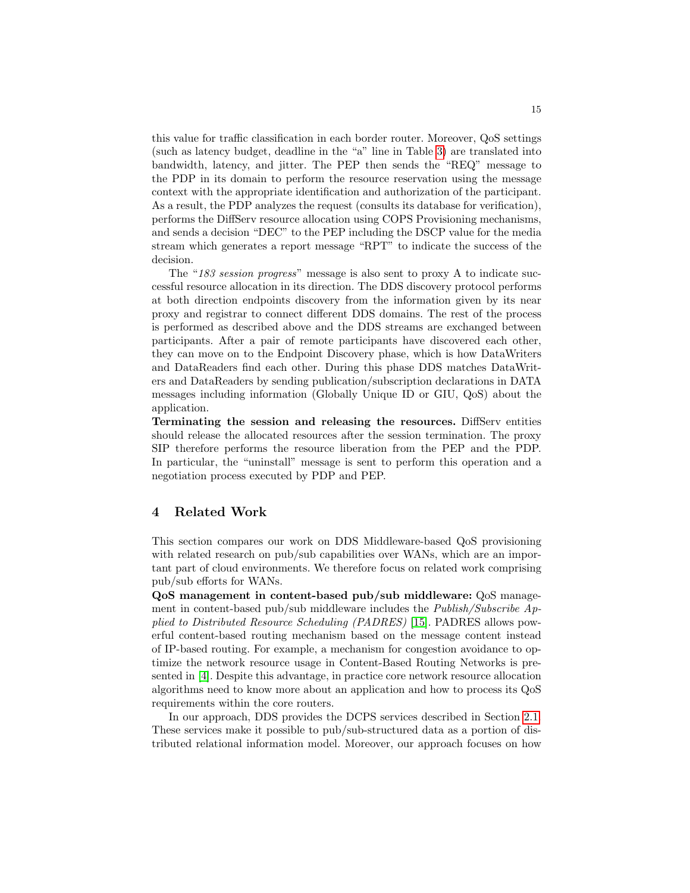this value for traffic classification in each border router. Moreover, QoS settings (such as latency budget, deadline in the "a" line in Table [3\)](#page-7-0) are translated into bandwidth, latency, and jitter. The PEP then sends the "REQ" message to the PDP in its domain to perform the resource reservation using the message context with the appropriate identification and authorization of the participant. As a result, the PDP analyzes the request (consults its database for verification), performs the DiffServ resource allocation using COPS Provisioning mechanisms, and sends a decision "DEC" to the PEP including the DSCP value for the media stream which generates a report message "RPT" to indicate the success of the decision.

The "183 session progress" message is also sent to proxy A to indicate successful resource allocation in its direction. The DDS discovery protocol performs at both direction endpoints discovery from the information given by its near proxy and registrar to connect different DDS domains. The rest of the process is performed as described above and the DDS streams are exchanged between participants. After a pair of remote participants have discovered each other, they can move on to the Endpoint Discovery phase, which is how DataWriters and DataReaders find each other. During this phase DDS matches DataWriters and DataReaders by sending publication/subscription declarations in DATA messages including information (Globally Unique ID or GIU, QoS) about the application.

Terminating the session and releasing the resources. DiffServ entities should release the allocated resources after the session termination. The proxy SIP therefore performs the resource liberation from the PEP and the PDP. In particular, the "uninstall" message is sent to perform this operation and a negotiation process executed by PDP and PEP.

# <span id="page-14-0"></span>4 Related Work

This section compares our work on DDS Middleware-based QoS provisioning with related research on pub/sub capabilities over WANs, which are an important part of cloud environments. We therefore focus on related work comprising pub/sub efforts for WANs.

QoS management in content-based pub/sub middleware: QoS management in content-based pub/sub middleware includes the Publish/Subscribe Applied to Distributed Resource Scheduling (PADRES) [\[15\]](#page-17-11). PADRES allows powerful content-based routing mechanism based on the message content instead of IP-based routing. For example, a mechanism for congestion avoidance to optimize the network resource usage in Content-Based Routing Networks is presented in [\[4\]](#page-17-12). Despite this advantage, in practice core network resource allocation algorithms need to know more about an application and how to process its QoS requirements within the core routers.

In our approach, DDS provides the DCPS services described in Section [2.1.](#page-2-1) These services make it possible to pub/sub-structured data as a portion of distributed relational information model. Moreover, our approach focuses on how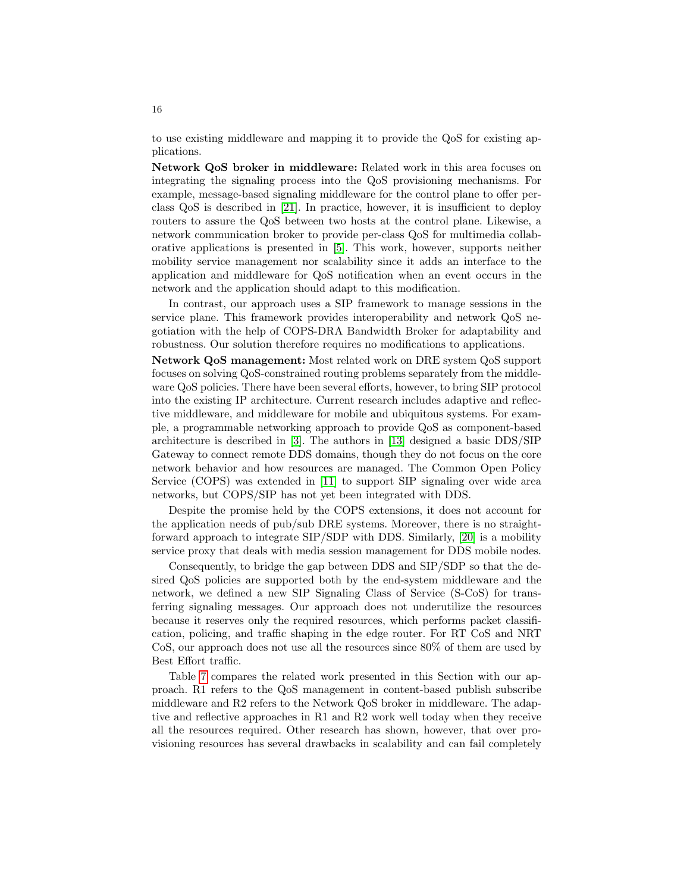to use existing middleware and mapping it to provide the QoS for existing applications.

Network QoS broker in middleware: Related work in this area focuses on integrating the signaling process into the QoS provisioning mechanisms. For example, message-based signaling middleware for the control plane to offer perclass QoS is described in [\[21\]](#page-17-13). In practice, however, it is insufficient to deploy routers to assure the QoS between two hosts at the control plane. Likewise, a network communication broker to provide per-class QoS for multimedia collaborative applications is presented in [\[5\]](#page-17-14). This work, however, supports neither mobility service management nor scalability since it adds an interface to the application and middleware for QoS notification when an event occurs in the network and the application should adapt to this modification.

In contrast, our approach uses a SIP framework to manage sessions in the service plane. This framework provides interoperability and network QoS negotiation with the help of COPS-DRA Bandwidth Broker for adaptability and robustness. Our solution therefore requires no modifications to applications.

Network QoS management: Most related work on DRE system QoS support focuses on solving QoS-constrained routing problems separately from the middleware QoS policies. There have been several efforts, however, to bring SIP protocol into the existing IP architecture. Current research includes adaptive and reflective middleware, and middleware for mobile and ubiquitous systems. For example, a programmable networking approach to provide QoS as component-based architecture is described in [\[3\]](#page-17-15). The authors in [\[13\]](#page-17-16) designed a basic DDS/SIP Gateway to connect remote DDS domains, though they do not focus on the core network behavior and how resources are managed. The Common Open Policy Service (COPS) was extended in [\[11\]](#page-17-17) to support SIP signaling over wide area networks, but COPS/SIP has not yet been integrated with DDS.

Despite the promise held by the COPS extensions, it does not account for the application needs of pub/sub DRE systems. Moreover, there is no straightforward approach to integrate SIP/SDP with DDS. Similarly, [\[20\]](#page-17-18) is a mobility service proxy that deals with media session management for DDS mobile nodes.

Consequently, to bridge the gap between DDS and SIP/SDP so that the desired QoS policies are supported both by the end-system middleware and the network, we defined a new SIP Signaling Class of Service (S-CoS) for transferring signaling messages. Our approach does not underutilize the resources because it reserves only the required resources, which performs packet classification, policing, and traffic shaping in the edge router. For RT CoS and NRT CoS, our approach does not use all the resources since 80% of them are used by Best Effort traffic.

Table [7](#page-16-2) compares the related work presented in this Section with our approach. R1 refers to the QoS management in content-based publish subscribe middleware and R2 refers to the Network QoS broker in middleware. The adaptive and reflective approaches in R1 and R2 work well today when they receive all the resources required. Other research has shown, however, that over provisioning resources has several drawbacks in scalability and can fail completely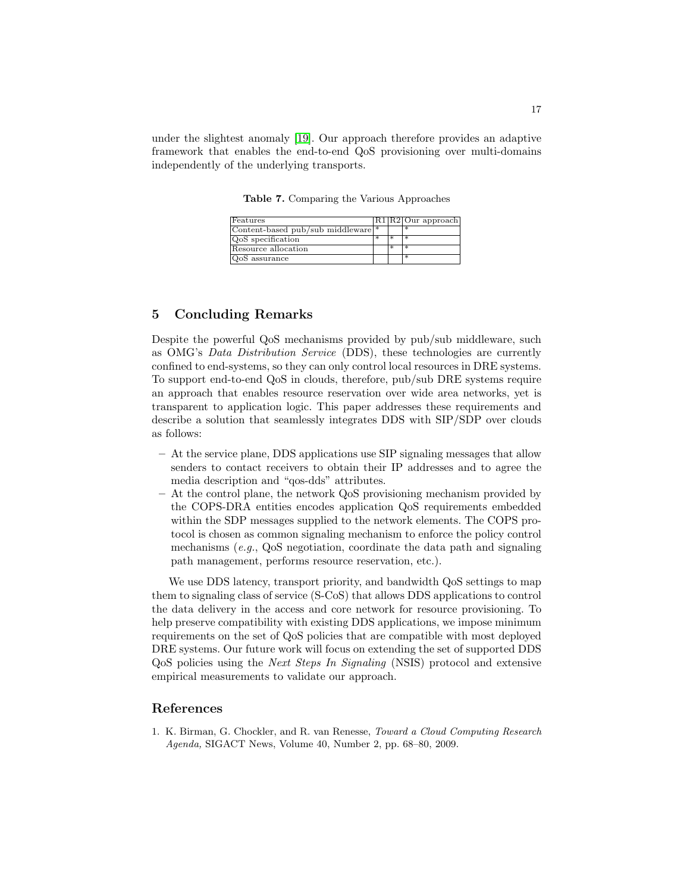under the slightest anomaly [\[19\]](#page-17-19). Our approach therefore provides an adaptive framework that enables the end-to-end QoS provisioning over multi-domains independently of the underlying transports.

<span id="page-16-2"></span>Table 7. Comparing the Various Approaches

| Features                                      |     | $\overline{R1 R2 Our$ approach |
|-----------------------------------------------|-----|--------------------------------|
| Content-based pub/sub middleware <sup>*</sup> |     |                                |
| QoS specification                             |     |                                |
| Resource allocation                           | -19 | ×                              |
| QoS assurance                                 |     |                                |
|                                               |     |                                |

# <span id="page-16-1"></span>5 Concluding Remarks

Despite the powerful QoS mechanisms provided by pub/sub middleware, such as OMG's Data Distribution Service (DDS), these technologies are currently confined to end-systems, so they can only control local resources in DRE systems. To support end-to-end QoS in clouds, therefore, pub/sub DRE systems require an approach that enables resource reservation over wide area networks, yet is transparent to application logic. This paper addresses these requirements and describe a solution that seamlessly integrates DDS with SIP/SDP over clouds as follows:

- At the service plane, DDS applications use SIP signaling messages that allow senders to contact receivers to obtain their IP addresses and to agree the media description and "qos-dds" attributes.
- At the control plane, the network QoS provisioning mechanism provided by the COPS-DRA entities encodes application QoS requirements embedded within the SDP messages supplied to the network elements. The COPS protocol is chosen as common signaling mechanism to enforce the policy control mechanisms  $(e.a., \text{OoS}\text{a}$  negotiation, coordinate the data path and signaling path management, performs resource reservation, etc.).

We use DDS latency, transport priority, and bandwidth QoS settings to map them to signaling class of service (S-CoS) that allows DDS applications to control the data delivery in the access and core network for resource provisioning. To help preserve compatibility with existing DDS applications, we impose minimum requirements on the set of QoS policies that are compatible with most deployed DRE systems. Our future work will focus on extending the set of supported DDS QoS policies using the Next Steps In Signaling (NSIS) protocol and extensive empirical measurements to validate our approach.

# References

<span id="page-16-0"></span>1. K. Birman, G. Chockler, and R. van Renesse, Toward a Cloud Computing Research Agenda, SIGACT News, Volume 40, Number 2, pp. 68–80, 2009.